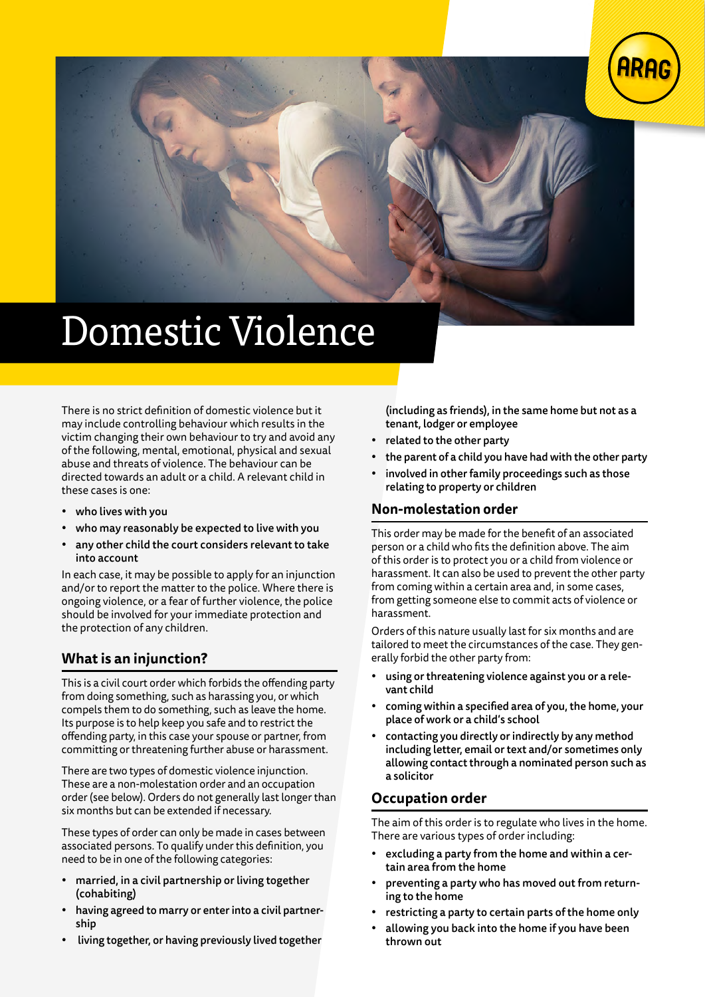



# Domestic Violence

There is no strict definition of domestic violence but it may include controlling behaviour which results in the victim changing their own behaviour to try and avoid any of the following, mental, emotional, physical and sexual abuse and threats of violence. The behaviour can be directed towards an adult or a child. A relevant child in these cases is one:

- who lives with you
- who may reasonably be expected to live with you
- any other child the court considers relevant to take into account

In each case, it may be possible to apply for an injunction and/or to report the matter to the police. Where there is ongoing violence, or a fear of further violence, the police should be involved for your immediate protection and the protection of any children.

#### **What is an injunction?**

This is a civil court order which forbids the offending party from doing something, such as harassing you, or which compels them to do something, such as leave the home. Its purpose is to help keep you safe and to restrict the offending party, in this case your spouse or partner, from committing or threatening further abuse or harassment.

There are two types of domestic violence injunction. These are a non-molestation order and an occupation order (see below). Orders do not generally last longer than six months but can be extended if necessary.

These types of order can only be made in cases between associated persons. To qualify under this definition, you need to be in one of the following categories:

- married, in a civil partnership or living together (cohabiting)
- having agreed to marry or enter into a civil partnership
- living together, or having previously lived together

(including as friends), in the same home but not as a tenant, lodger or employee

- related to the other party
- the parent of a child you have had with the other party
- involved in other family proceedings such as those relating to property or children

#### **Non-molestation order**

This order may be made for the benefit of an associated person or a child who fits the definition above. The aim of this order is to protect you or a child from violence or harassment. It can also be used to prevent the other party from coming within a certain area and, in some cases, from getting someone else to commit acts of violence or harassment.

Orders of this nature usually last for six months and are tailored to meet the circumstances of the case. They generally forbid the other party from:

- using or threatening violence against you or a relevant child
- coming within a specified area of you, the home, your place of work or a child's school
- contacting you directly or indirectly by any method including letter, email or text and/or sometimes only allowing contact through a nominated person such as a solicitor

#### **Occupation order**

The aim of this order is to regulate who lives in the home. There are various types of order including:

- excluding a party from the home and within a certain area from the home
- preventing a party who has moved out from returning to the home
- restricting a party to certain parts of the home only
- allowing you back into the home if you have been thrown out